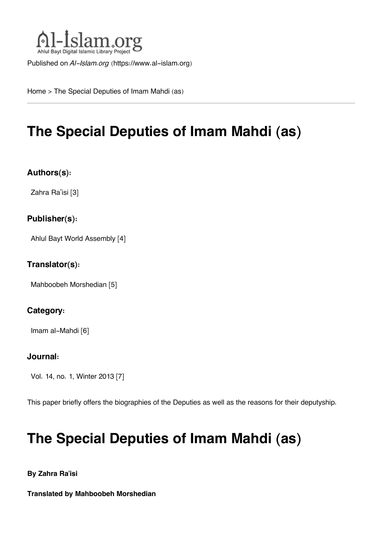

Published on *Al-Islam.org* ([https://www.al-islam.org\)](https://www.al-islam.org)

[Home](https://www.al-islam.org/) > The Special Deputies of Imam Mahdi (as)

# **The Special Deputies of Imam Mahdi (as)**

# **Authors(s):**

[Zahra Ra'isi](https://www.al-islam.org/person/zahra-raisi) [3]

### **Publisher(s):**

[Ahlul Bayt World Assembly](https://www.al-islam.org/organization/ahlul-bayt-world-assembly) [4]

### **Translator(s):**

[Mahboobeh Morshedian](https://www.al-islam.org/person/mahboobeh-morshedian) [5]

# **Category:**

[Imam al-Mahdi](https://www.al-islam.org/library/imam-al-mahdi) [6]

### **Journal:**

[Vol. 14, no. 1, Winter 2013](https://www.al-islam.org/journals/vol-14-no-1-winter-2013) [7]

This paper briefly offers the biographies of the Deputies as well as the reasons for their deputyship.

# **The Special Deputies of Imam Mahdi (as)**

**By Zahra Ra'isi**

<span id="page-0-0"></span>**Translated by Mahboobeh Morshedian**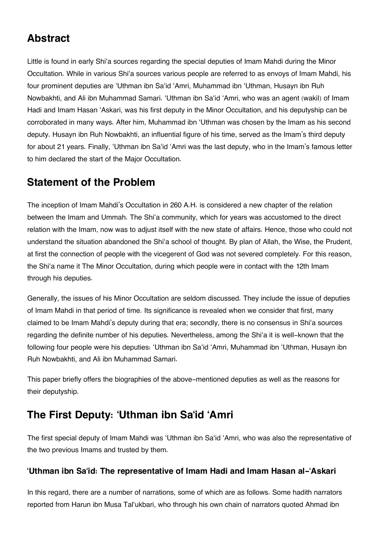# **[Abstract](#page-0-0)**

Little is found in early Shi'a sources regarding the special deputies of Imam Mahdi during the Minor Occultation. While in various Shi'a sources various people are referred to as envoys of Imam Mahdi, his four prominent deputies are 'Uthman ibn Sa'id 'Amri, Muhammad ibn 'Uthman, Husayn ibn Ruh Nowbakhti, and Ali ibn Muhammad Samari. 'Uthman ibn Sa'id 'Amri, who was an agent (wakil) of Imam Hadi and Imam Hasan 'Askari, was his first deputy in the Minor Occultation, and his deputyship can be corroborated in many ways. After him, Muhammad ibn 'Uthman was chosen by the Imam as his second deputy. Husayn ibn Ruh Nowbakhti, an influential figure of his time, served as the Imam's third deputy for about 21 years. Finally, 'Uthman ibn Sa'id 'Amri was the last deputy, who in the Imam's famous letter to him declared the start of the Major Occultation.

# <span id="page-1-0"></span>**[Statement of the Problem](#page-1-0)**

The inception of Imam Mahdi's Occultation in 260 A.H. is considered a new chapter of the relation between the Imam and Ummah. The Shi'a community, which for years was accustomed to the direct relation with the Imam, now was to adjust itself with the new state of affairs. Hence, those who could not understand the situation abandoned the Shi'a school of thought. By plan of Allah, the Wise, the Prudent, at first the connection of people with the vicegerent of God was not severed completely. For this reason, the Shi'a name it The Minor Occultation, during which people were in contact with the 12th Imam through his deputies.

Generally, the issues of his Minor Occultation are seldom discussed. They include the issue of deputies of Imam Mahdi in that period of time. Its significance is revealed when we consider that first, many claimed to be Imam Mahdi's deputy during that era; secondly, there is no consensus in Shi'a sources regarding the definite number of his deputies. Nevertheless, among the Shi'a it is well-known that the following four people were his deputies: 'Uthman ibn Sa'id 'Amri, Muhammad ibn 'Uthman, Husayn ibn Ruh Nowbakhti, and Ali ibn Muhammad Samari.

This paper briefly offers the biographies of the above-mentioned deputies as well as the reasons for their deputyship.

# <span id="page-1-1"></span>**[The First Deputy: 'Uthman ibn Sa'id 'Amri](#page-1-1)**

The first special deputy of Imam Mahdi was 'Uthman ibn Sa'id 'Amri, who was also the representative of the two previous Imams and trusted by them.

# <span id="page-1-2"></span>**['Uthman ibn Sa'id: The representative of Imam Hadi and Imam Hasan al-'Askari](#page-1-2)**

In this regard, there are a number of narrations, some of which are as follows. Some hadith narrators reported from Harun ibn Musa Tal'ukbari, who through his own chain of narrators quoted Ahmad ibn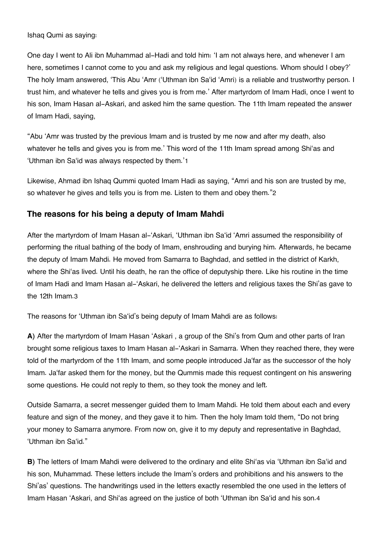Ishaq Qumi as saying:

One day I went to Ali ibn Muhammad al-Hadi and told him: 'I am not always here, and whenever I am here, sometimes I cannot come to you and ask my religious and legal questions. Whom should I obey?' The holy Imam answered, 'This Abu 'Amr ('Uthman ibn Sa'id 'Amri) is a reliable and trustworthy person. I trust him, and whatever he tells and gives you is from me.' After martyrdom of Imam Hadi, once I went to his son, Imam Hasan al-Askari, and asked him the same question. The 11th Imam repeated the answer of Imam Hadi, saying,

<span id="page-2-2"></span>"Abu 'Amr was trusted by the previous Imam and is trusted by me now and after my death, also whatever he tells and gives you is from me.' This word of the 11th Imam spread among Shi'as and 'Uthman ibn Sa'id was always respected by them.'[1](#page-8-0)

<span id="page-2-3"></span>Likewise, Ahmad ibn Ishaq Qummi quoted Imam Hadi as saying, "Amri and his son are trusted by me, so whatever he gives and tells you is from me. Listen to them and obey them."[2](#page-8-1)

### <span id="page-2-0"></span>**[The reasons for his being a deputy of Imam Mahdi](#page-2-0)**

After the martyrdom of Imam Hasan al-'Askari, 'Uthman ibn Sa'id 'Amri assumed the responsibility of performing the ritual bathing of the body of Imam, enshrouding and burying him. Afterwards, he became the deputy of Imam Mahdi. He moved from Samarra to Baghdad, and settled in the district of Karkh, where the Shi'as lived. Until his death, he ran the office of deputyship there. Like his routine in the time of Imam Hadi and Imam Hasan al-'Askari, he delivered the letters and religious taxes the Shi'as gave to the 12th Imam.[3](#page-8-2)

<span id="page-2-4"></span>The reasons for 'Uthman ibn Sa'id's being deputy of Imam Mahdi are as follows:

**A)** After the martyrdom of Imam Hasan 'Askari , a group of the Shi's from Qum and other parts of Iran brought some religious taxes to Imam Hasan al-'Askari in Samarra. When they reached there, they were told of the martyrdom of the 11th Imam, and some people introduced Ja'far as the successor of the holy Imam. Ja'far asked them for the money, but the Qummis made this request contingent on his answering some questions. He could not reply to them, so they took the money and left.

Outside Samarra, a secret messenger guided them to Imam Mahdi. He told them about each and every feature and sign of the money, and they gave it to him. Then the holy Imam told them, "Do not bring your money to Samarra anymore. From now on, give it to my deputy and representative in Baghdad, 'Uthman ibn Sa'id."

<span id="page-2-5"></span><span id="page-2-1"></span>**B**) The letters of Imam Mahdi were delivered to the ordinary and elite Shi'as via 'Uthman ibn Sa'id and his son, Muhammad. These letters include the Imam's orders and prohibitions and his answers to the Shi'as' questions. The handwritings used in the letters exactly resembled the one used in the letters of Imam Hasan 'Askari, and Shi'as agreed on the justice of both 'Uthman ibn Sa'id and his son.[4](#page-8-3)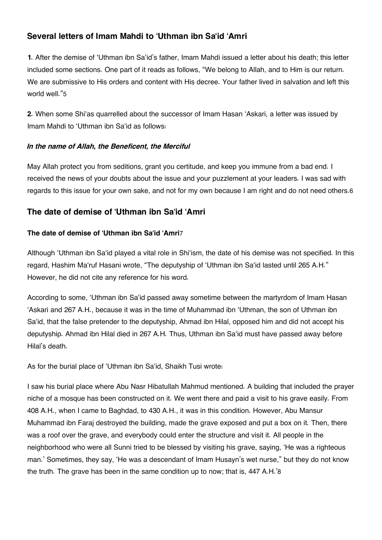# **[Several letters of Imam Mahdi to 'Uthman ibn Sa'id 'Amri](#page-2-1)**

**1.** After the demise of 'Uthman ibn Sa'id's father, Imam Mahdi issued a letter about his death; this letter included some sections. One part of it reads as follows, "We belong to Allah, and to Him is our return. We are submissive to His orders and content with His decree. Your father lived in salvation and left this world well."[5](#page-8-4)

<span id="page-3-2"></span>**2.** When some Shi'as quarrelled about the successor of Imam Hasan 'Askari, a letter was issued by Imam Mahdi to 'Uthman ibn Sa'id as follows:

#### *In the name of Allah, the Beneficent, the Merciful*

<span id="page-3-3"></span>May Allah protect you from seditions, grant you certitude, and keep you immune from a bad end. I received the news of your doubts about the issue and your puzzlement at your leaders. I was sad with regards to this issue for your own sake, and not for my own because I am right and do not need others.[6](#page-8-5)

# <span id="page-3-0"></span>**[The date of demise of 'Uthman ibn Sa'id 'Amri](#page-3-0)**

### <span id="page-3-4"></span>**The date of demise of 'Uthman ibn Sa'id 'Amri**[7](#page-8-6)

Although 'Uthman ibn Sa'id played a vital role in Shi'ism, the date of his demise was not specified. In this regard, Hashim Ma'ruf Hasani wrote, "The deputyship of 'Uthman ibn Sa'id lasted until 265 A.H." However, he did not cite any reference for his word.

According to some, 'Uthman ibn Sa'id passed away sometime between the martyrdom of Imam Hasan 'Askari and 267 A.H., because it was in the time of Muhammad ibn 'Uthman, the son of Uthman ibn Sa'id, that the false pretender to the deputyship, Ahmad ibn Hilal, opposed him and did not accept his deputyship. Ahmad ibn Hilal died in 267 A.H. Thus, Uthman ibn Sa'id must have passed away before Hilal's death.

As for the burial place of 'Uthman ibn Sa'id, Shaikh Tusi wrote:

<span id="page-3-5"></span><span id="page-3-1"></span>I saw his burial place where Abu Nasr Hibatullah Mahmud mentioned. A building that included the prayer niche of a mosque has been constructed on it. We went there and paid a visit to his grave easily. From 408 A.H., when I came to Baghdad, to 430 A.H., it was in this condition. However, Abu Mansur Muhammad ibn Faraj destroyed the building, made the grave exposed and put a box on it. Then, there was a roof over the grave, and everybody could enter the structure and visit it. All people in the neighborhood who were all Sunni tried to be blessed by visiting his grave, saying, 'He was a righteous man.' Sometimes, they say, 'He was a descendant of Imam Husayn's wet nurse," but they do not know the truth. The grave has been in the same condition up to now; that is, 447 A.H.'[8](#page-8-7)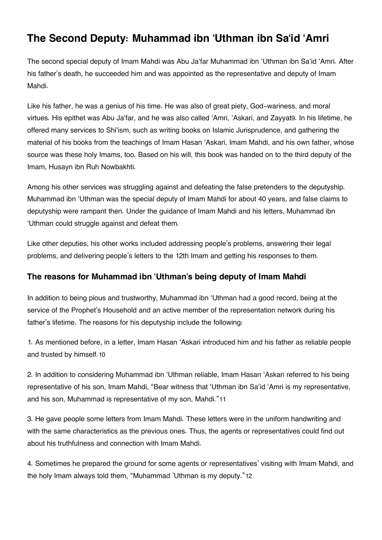# **[The Second Deputy: Muhammad ibn 'Uthman ibn Sa'id 'Amri](#page-3-1)**

The second special deputy of Imam Mahdi was Abu Ja'far Muhammad ibn 'Uthman ibn Sa'id 'Amri. After his father's death, he succeeded him and was appointed as the representative and deputy of Imam Mahdi.

<span id="page-4-2"></span>Like his father, he was a genius of his time. He was also of great piety, God-wariness, and moral virtues. His epithet was Abu Ja'far, and he was also called 'Amri, 'Askari, and Zayyat[9](#page-8-8). In his lifetime, he offered many services to Shi'ism, such as writing books on Islamic Jurisprudence, and gathering the material of his books from the teachings of Imam Hasan 'Askari, Imam Mahdi, and his own father, whose source was these holy Imams, too. Based on his will, this book was handed on to the third deputy of the Imam, Husayn ibn Ruh Nowbakhti.

Among his other services was struggling against and defeating the false pretenders to the deputyship. Muhammad ibn 'Uthman was the special deputy of Imam Mahdi for about 40 years, and false claims to deputyship were rampant then. Under the guidance of Imam Mahdi and his letters, Muhammad ibn 'Uthman could struggle against and defeat them.

Like other deputies, his other works included addressing people's problems, answering their legal problems, and delivering people's letters to the 12th Imam and getting his responses to them.

# <span id="page-4-0"></span>**[The reasons for Muhammad ibn 'Uthman's being deputy of Imam Mahdi](#page-4-0)**

In addition to being pious and trustworthy, Muhammad ibn 'Uthman had a good record, being at the service of the Prophet's Household and an active member of the representation network during his father's lifetime. The reasons for his deputyship include the following:

<span id="page-4-3"></span>1. As mentioned before, in a letter, Imam Hasan 'Askari introduced him and his father as reliable people and trusted by himself.[10](#page-8-9)

<span id="page-4-4"></span>2. In addition to considering Muhammad ibn 'Uthman reliable, Imam Hasan 'Askari referred to his being representative of his son, Imam Mahdi, "Bear witness that 'Uthman ibn Sa'id 'Amri is my representative, and his son, Muhammad is representative of my son, Mahdi."[11](#page-8-10)

3. He gave people some letters from Imam Mahdi. These letters were in the uniform handwriting and with the same characteristics as the previous ones. Thus, the agents or representatives could find out about his truthfulness and connection with Imam Mahdi.

<span id="page-4-5"></span><span id="page-4-1"></span>4. Sometimes he prepared the ground for some agents or representatives' visiting with Imam Mahdi, and the holy Imam always told them, "Muhammad 'Uthman is my deputy."[12](#page-8-11)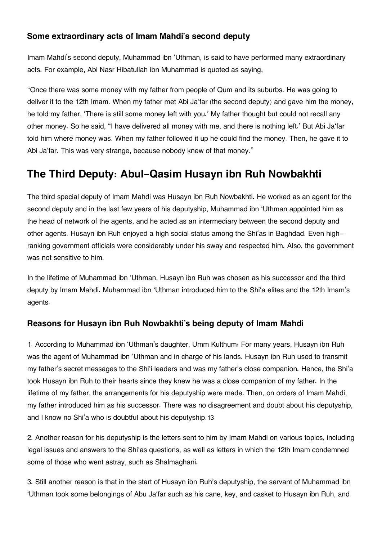# **[Some extraordinary acts of Imam Mahdi's second deputy](#page-4-1)**

Imam Mahdi's second deputy, Muhammad ibn 'Uthman, is said to have performed many extraordinary acts. For example, Abi Nasr Hibatullah ibn Muhammad is quoted as saying,

"Once there was some money with my father from people of Qum and its suburbs. He was going to deliver it to the 12th Imam. When my father met Abi Ja'far (the second deputy) and gave him the money, he told my father, 'There is still some money left with you.' My father thought but could not recall any other money. So he said, "I have delivered all money with me, and there is nothing left.' But Abi Ja'far told him where money was. When my father followed it up he could find the money. Then, he gave it to Abi Ja'far. This was very strange, because nobody knew of that money."

# <span id="page-5-0"></span>**[The Third Deputy: Abul-Qasim Husayn ibn Ruh Nowbakhti](#page-5-0)**

The third special deputy of Imam Mahdi was Husayn ibn Ruh Nowbakhti. He worked as an agent for the second deputy and in the last few years of his deputyship, Muhammad ibn 'Uthman appointed him as the head of network of the agents, and he acted as an intermediary between the second deputy and other agents. Husayn ibn Ruh enjoyed a high social status among the Shi'as in Baghdad. Even highranking government officials were considerably under his sway and respected him. Also, the government was not sensitive to him.

In the lifetime of Muhammad ibn 'Uthman, Husayn ibn Ruh was chosen as his successor and the third deputy by Imam Mahdi. Muhammad ibn 'Uthman introduced him to the Shi'a elites and the 12th Imam's agents.

# <span id="page-5-1"></span>**[Reasons for Husayn ibn Ruh Nowbakhti's being deputy of Imam Mahdi](#page-5-1)**

1. According to Muhammad ibn 'Uthman's daughter, Umm Kulthum: For many years, Husayn ibn Ruh was the agent of Muhammad ibn 'Uthman and in charge of his lands. Husayn ibn Ruh used to transmit my father's secret messages to the Shi'i leaders and was my father's close companion. Hence, the Shi'a took Husayn ibn Ruh to their hearts since they knew he was a close companion of my father. In the lifetime of my father, the arrangements for his deputyship were made. Then, on orders of Imam Mahdi, my father introduced him as his successor. There was no disagreement and doubt about his deputyship, and I know no Shi'a who is doubtful about his deputyship.[13](#page-8-12)

<span id="page-5-2"></span>2. Another reason for his deputyship is the letters sent to him by Imam Mahdi on various topics, including legal issues and answers to the Shi'as questions, as well as letters in which the 12th Imam condemned some of those who went astray, such as Shalmaghani.

3. Still another reason is that in the start of Husayn ibn Ruh's deputyship, the servant of Muhammad ibn 'Uthman took some belongings of Abu Ja'far such as his cane, key, and casket to Husayn ibn Ruh, and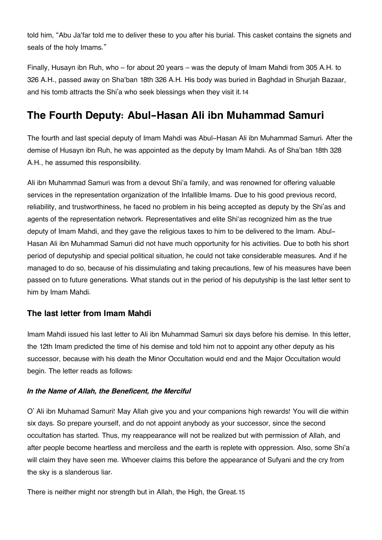told him, "Abu Ja'far told me to deliver these to you after his burial. This casket contains the signets and seals of the holy Imams."

<span id="page-6-2"></span>Finally, Husayn ibn Ruh, who – for about 20 years – was the deputy of Imam Mahdi from 305 A.H. to 326 A.H., passed away on Sha'ban 18th 326 A.H. His body was buried in Baghdad in Shurjah Bazaar, and his tomb attracts the Shi'a who seek blessings when they visit it.[14](#page-8-13)

# <span id="page-6-0"></span>**[The Fourth Deputy: Abul-Hasan Ali ibn Muhammad Samuri](#page-6-0)**

The fourth and last special deputy of Imam Mahdi was Abul-Hasan Ali ibn Muhammad Samuri. After the demise of Husayn ibn Ruh, he was appointed as the deputy by Imam Mahdi. As of Sha'ban 18th 328 A.H., he assumed this responsibility.

Ali ibn Muhammad Samuri was from a devout Shi'a family, and was renowned for offering valuable services in the representation organization of the Infallible Imams. Due to his good previous record, reliability, and trustworthiness, he faced no problem in his being accepted as deputy by the Shi'as and agents of the representation network. Representatives and elite Shi'as recognized him as the true deputy of Imam Mahdi, and they gave the religious taxes to him to be delivered to the Imam. Abul-Hasan Ali ibn Muhammad Samuri did not have much opportunity for his activities. Due to both his short period of deputyship and special political situation, he could not take considerable measures. And if he managed to do so, because of his dissimulating and taking precautions, few of his measures have been passed on to future generations. What stands out in the period of his deputyship is the last letter sent to him by Imam Mahdi.

### <span id="page-6-1"></span>**[The last letter from Imam Mahdi](#page-6-1)**

Imam Mahdi issued his last letter to Ali ibn Muhammad Samuri six days before his demise. In this letter, the 12th Imam predicted the time of his demise and told him not to appoint any other deputy as his successor, because with his death the Minor Occultation would end and the Major Occultation would begin. The letter reads as follows:

#### *In the Name of Allah, the Beneficent, the Merciful*

O' Ali ibn Muhamad Samuri! May Allah give you and your companions high rewards! You will die within six days. So prepare yourself, and do not appoint anybody as your successor, since the second occultation has started. Thus, my reappearance will not be realized but with permission of Allah, and after people become heartless and merciless and the earth is replete with oppression. Also, some Shi'a will claim they have seen me. Whoever claims this before the appearance of Sufyani and the cry from the sky is a slanderous liar.

<span id="page-6-3"></span>There is neither might nor strength but in Allah, the High, the Great.[15](#page-8-14)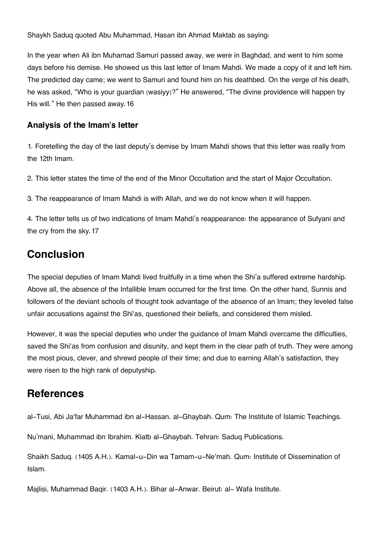Shaykh Saduq quoted Abu Muhammad, Hasan ibn Ahmad Maktab as saying:

In the year when Ali ibn Muhamad Samuri passed away, we were in Baghdad, and went to him some days before his demise. He showed us this last letter of Imam Mahdi. We made a copy of it and left him. The predicted day came; we went to Samuri and found him on his deathbed. On the verge of his death, he was asked, "Who is your guardian (wasiyy)?" He answered, "The divine providence will happen by His will." He then passed away.16

### <span id="page-7-0"></span>**[Analysis of the Imam's letter](#page-7-0)**

1. Foretelling the day of the last deputy's demise by Imam Mahdi shows that this letter was really from the 12th Imam.

2. This letter states the time of the end of the Minor Occultation and the start of Major Occultation.

3. The reappearance of Imam Mahdi is with Allah, and we do not know when it will happen.

4. The letter tells us of two indications of Imam Mahdi's reappearance: the appearance of Sufyani and the cry from the sky.17

# <span id="page-7-1"></span>**[Conclusion](#page-7-1)**

The special deputies of Imam Mahdi lived fruitfully in a time when the Shi'a suffered extreme hardship. Above all, the absence of the Infallible Imam occurred for the first time. On the other hand, Sunnis and followers of the deviant schools of thought took advantage of the absence of an Imam; they leveled false unfair accusations against the Shi'as, questioned their beliefs, and considered them misled.

However, it was the special deputies who under the guidance of Imam Mahdi overcame the difficulties, saved the Shi'as from confusion and disunity, and kept them in the clear path of truth. They were among the most pious, clever, and shrewd people of their time; and due to earning Allah's satisfaction, they were risen to the high rank of deputyship.

# <span id="page-7-2"></span>**[References](#page-7-2)**

al-Tusi, Abi Ja'far Muhammad ibn al-Hassan. al-Ghaybah. Qum: The Institute of Islamic Teachings.

Nu'mani, Muhammad ibn Ibrahim. Kiatb al-Ghaybah. Tehran: Saduq Publications.

Shaikh Saduq. (1405 A.H.). Kamal-u-Din wa Tamam-u-Ne'mah. Qum: Institute of Dissemination of Islam.

Majlisi, Muhammad Baqir. (1403 A.H.). Bihar al-Anwar. Beirut: al- Wafa Institute.